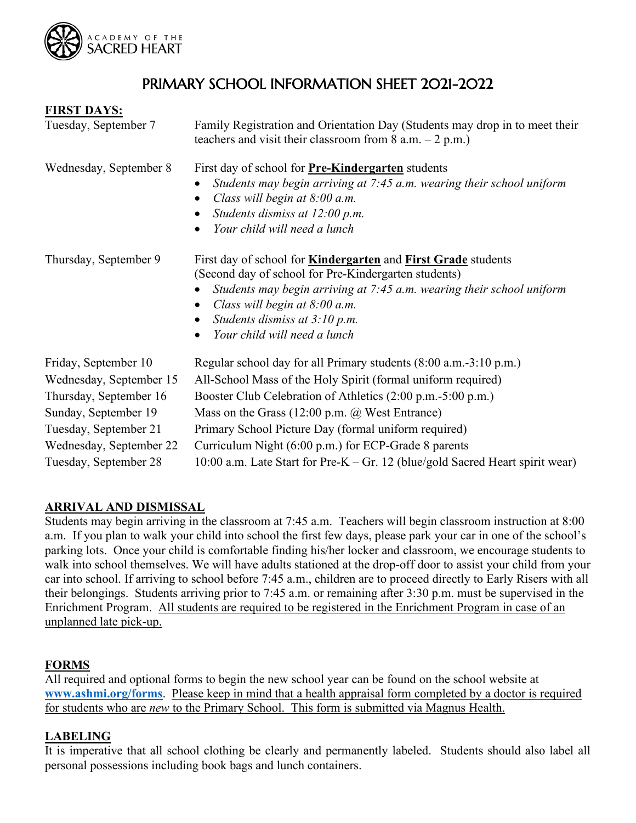

# PRIMARY SCHOOL INFORMATION SHEET 2021-2022

| <b>FIRST DAYS:</b>      |                                                                                                                                                                                                                                                                                                                                            |
|-------------------------|--------------------------------------------------------------------------------------------------------------------------------------------------------------------------------------------------------------------------------------------------------------------------------------------------------------------------------------------|
| Tuesday, September 7    | Family Registration and Orientation Day (Students may drop in to meet their<br>teachers and visit their classroom from $8$ a.m. $-2$ p.m.)                                                                                                                                                                                                 |
| Wednesday, September 8  | First day of school for <b>Pre-Kindergarten</b> students<br>Students may begin arriving at 7:45 a.m. wearing their school uniform<br>Class will begin at 8:00 a.m.<br>$\bullet$<br>Students dismiss at 12:00 p.m.<br>$\bullet$<br>Your child will need a lunch<br>$\bullet$                                                                |
| Thursday, September 9   | First day of school for <b>Kindergarten</b> and <b>First Grade</b> students<br>(Second day of school for Pre-Kindergarten students)<br>Students may begin arriving at 7:45 a.m. wearing their school uniform<br>Class will begin at $8:00$ a.m.<br>Students dismiss at 3:10 p.m.<br>$\bullet$<br>Your child will need a lunch<br>$\bullet$ |
| Friday, September 10    | Regular school day for all Primary students (8:00 a.m.-3:10 p.m.)                                                                                                                                                                                                                                                                          |
| Wednesday, September 15 | All-School Mass of the Holy Spirit (formal uniform required)                                                                                                                                                                                                                                                                               |
| Thursday, September 16  | Booster Club Celebration of Athletics (2:00 p.m.-5:00 p.m.)                                                                                                                                                                                                                                                                                |
| Sunday, September 19    | Mass on the Grass $(12:00 \text{ p.m. } \textcircled{a}$ West Entrance)                                                                                                                                                                                                                                                                    |
| Tuesday, September 21   | Primary School Picture Day (formal uniform required)                                                                                                                                                                                                                                                                                       |
| Wednesday, September 22 | Curriculum Night (6:00 p.m.) for ECP-Grade 8 parents                                                                                                                                                                                                                                                                                       |

# **ARRIVAL AND DISMISSAL**

Students may begin arriving in the classroom at 7:45 a.m. Teachers will begin classroom instruction at 8:00 a.m. If you plan to walk your child into school the first few days, please park your car in one of the school's parking lots. Once your child is comfortable finding his/her locker and classroom, we encourage students to walk into school themselves. We will have adults stationed at the drop-off door to assist your child from your car into school. If arriving to school before 7:45 a.m., children are to proceed directly to Early Risers with all their belongings. Students arriving prior to 7:45 a.m. or remaining after 3:30 p.m. must be supervised in the Enrichment Program. All students are required to be registered in the Enrichment Program in case of an unplanned late pick-up.

Tuesday, September 28 10:00 a.m. Late Start for Pre-K – Gr. 12 (blue/gold Sacred Heart spirit wear)

### **FORMS**

All required and optional forms to begin the new school year can be found on the school website at **[www.ashmi.org/forms](http://www.ashmi.org/forms)**. Please keep in mind that a health appraisal form completed by a doctor is required for students who are *new* to the Primary School. This form is submitted via Magnus Health.

#### **LABELING**

It is imperative that all school clothing be clearly and permanently labeled. Students should also label all personal possessions including book bags and lunch containers.